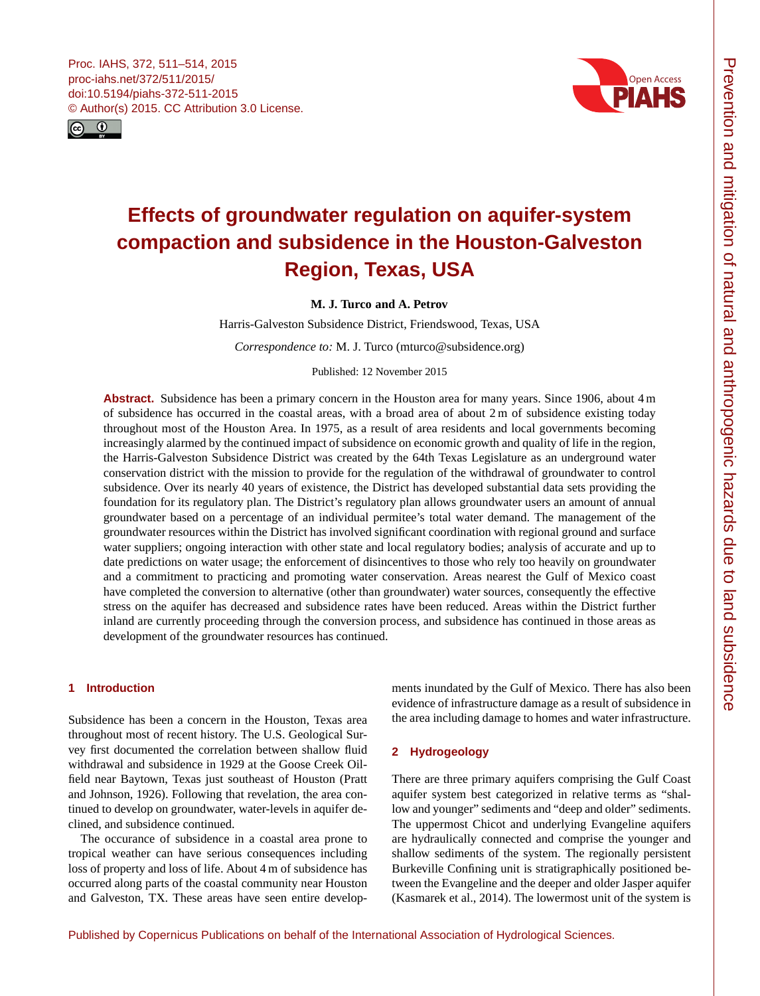<span id="page-0-0"></span>



# **Effects of groundwater regulation on aquifer-system compaction and subsidence in the Houston-Galveston Region, Texas, USA**

**M. J. Turco and A. Petrov**

Harris-Galveston Subsidence District, Friendswood, Texas, USA

*Correspondence to:* M. J. Turco (mturco@subsidence.org)

Published: 12 November 2015

**Abstract.** Subsidence has been a primary concern in the Houston area for many years. Since 1906, about 4 m of subsidence has occurred in the coastal areas, with a broad area of about 2 m of subsidence existing today throughout most of the Houston Area. In 1975, as a result of area residents and local governments becoming increasingly alarmed by the continued impact of subsidence on economic growth and quality of life in the region, the Harris-Galveston Subsidence District was created by the 64th Texas Legislature as an underground water conservation district with the mission to provide for the regulation of the withdrawal of groundwater to control subsidence. Over its nearly 40 years of existence, the District has developed substantial data sets providing the foundation for its regulatory plan. The District's regulatory plan allows groundwater users an amount of annual groundwater based on a percentage of an individual permitee's total water demand. The management of the groundwater resources within the District has involved significant coordination with regional ground and surface water suppliers; ongoing interaction with other state and local regulatory bodies; analysis of accurate and up to date predictions on water usage; the enforcement of disincentives to those who rely too heavily on groundwater and a commitment to practicing and promoting water conservation. Areas nearest the Gulf of Mexico coast have completed the conversion to alternative (other than groundwater) water sources, consequently the effective stress on the aquifer has decreased and subsidence rates have been reduced. Areas within the District further inland are currently proceeding through the conversion process, and subsidence has continued in those areas as development of the groundwater resources has continued.

# **1 Introduction**

Subsidence has been a concern in the Houston, Texas area throughout most of recent history. The U.S. Geological Survey first documented the correlation between shallow fluid withdrawal and subsidence in 1929 at the Goose Creek Oilfield near Baytown, Texas just southeast of Houston (Pratt and Johnson, 1926). Following that revelation, the area continued to develop on groundwater, water-levels in aquifer declined, and subsidence continued.

The occurance of subsidence in a coastal area prone to tropical weather can have serious consequences including loss of property and loss of life. About 4 m of subsidence has occurred along parts of the coastal community near Houston and Galveston, TX. These areas have seen entire developments inundated by the Gulf of Mexico. There has also been evidence of infrastructure damage as a result of subsidence in the area including damage to homes and water infrastructure.

## **2 Hydrogeology**

There are three primary aquifers comprising the Gulf Coast aquifer system best categorized in relative terms as "shallow and younger" sediments and "deep and older" sediments. The uppermost Chicot and underlying Evangeline aquifers are hydraulically connected and comprise the younger and shallow sediments of the system. The regionally persistent Burkeville Confining unit is stratigraphically positioned between the Evangeline and the deeper and older Jasper aquifer (Kasmarek et al., 2014). The lowermost unit of the system is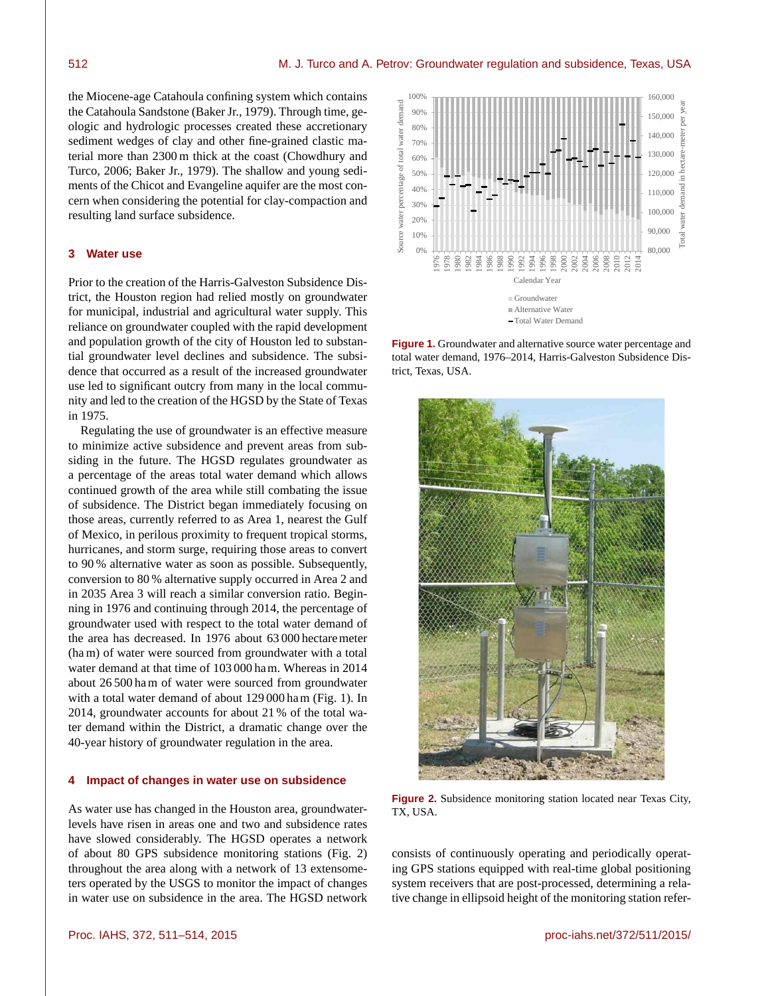the Miocene-age Catahoula confining system which contains the Catahoula Sandstone (Baker Jr., 1979). Through time, geologic and hydrologic processes created these accretionary sediment wedges of clay and other fine-grained clastic material more than 2300 m thick at the coast (Chowdhury and Turco, 2006; Baker Jr., 1979). The shallow and young sediments of the Chicot and Evangeline aquifer are the most concern when considering the potential for clay-compaction and resulting land surface subsidence.

#### **3 Water use**

Prior to the creation of the Harris-Galveston Subsidence District, the Houston region had relied mostly on groundwater for municipal, industrial and agricultural water supply. This reliance on groundwater coupled with the rapid development and population growth of the city of Houston led to substantial groundwater level declines and subsidence. The subsidence that occurred as a result of the increased groundwater use led to significant outcry from many in the local community and led to the creation of the HGSD by the State of Texas in 1975.

Regulating the use of groundwater is an effective measure to minimize active subsidence and prevent areas from subsiding in the future. The HGSD regulates groundwater as a percentage of the areas total water demand which allows continued growth of the area while still combating the issue of subsidence. The District began immediately focusing on those areas, currently referred to as Area 1, nearest the Gulf of Mexico, in perilous proximity to frequent tropical storms, hurricanes, and storm surge, requiring those areas to convert to 90 % alternative water as soon as possible. Subsequently, conversion to 80 % alternative supply occurred in Area 2 and in 2035 Area 3 will reach a similar conversion ratio. Beginning in 1976 and continuing through 2014, the percentage of groundwater used with respect to the total water demand of the area has decreased. In 1976 about 63 000 hectare meter (ha m) of water were sourced from groundwater with a total water demand at that time of 103 000 ha m. Whereas in 2014 about 26 500 ha m of water were sourced from groundwater with a total water demand of about 129 000 ha m (Fig. 1). In 2014, groundwater accounts for about 21 % of the total water demand within the District, a dramatic change over the 40-year history of groundwater regulation in the area.

#### **4 Impact of changes in water use on subsidence**

As water use has changed in the Houston area, groundwaterlevels have risen in areas one and two and subsidence rates have slowed considerably. The HGSD operates a network of about 80 GPS subsidence monitoring stations (Fig. 2) throughout the area along with a network of 13 extensometers operated by the USGS to monitor the impact of changes in water use on subsidence in the area. The HGSD network



**Figure 1.** Groundwater and alternative source water percentage and total water demand, 1976–2014, Harris-Galveston Subsidence District, Texas, USA.



**Figure 2.** Subsidence monitoring station located near Texas City, TX, USA.

consists of continuously operating and periodically operating GPS stations equipped with real-time global positioning system receivers that are post-processed, determining a relative change in ellipsoid height of the monitoring station refer-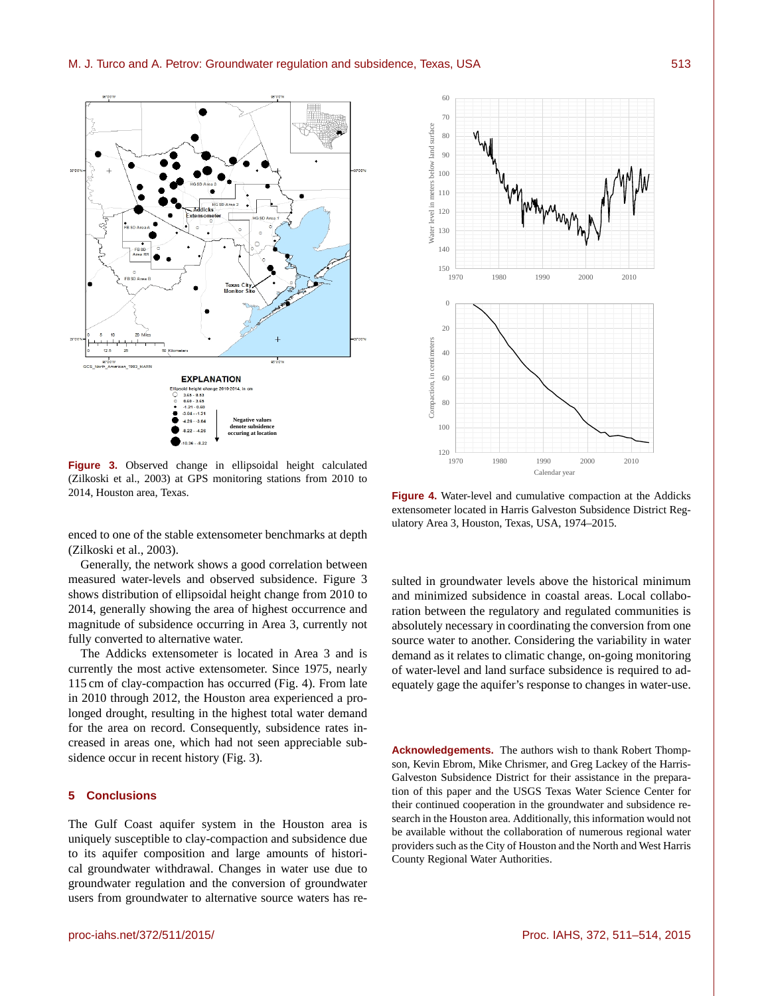

**Figure 3.** Observed change in ellipsoidal height calculated (Zilkoski et al., 2003) at GPS monitoring stations from 2010 to 2014, Houston area, Texas.

enced to one of the stable extensometer benchmarks at depth (Zilkoski et al., 2003).

Generally, the network shows a good correlation between measured water-levels and observed subsidence. Figure 3 shows distribution of ellipsoidal height change from 2010 to 2014, generally showing the area of highest occurrence and magnitude of subsidence occurring in Area 3, currently not fully converted to alternative water.

The Addicks extensometer is located in Area 3 and is currently the most active extensometer. Since 1975, nearly 115 cm of clay-compaction has occurred (Fig. 4). From late in 2010 through 2012, the Houston area experienced a prolonged drought, resulting in the highest total water demand for the area on record. Consequently, subsidence rates increased in areas one, which had not seen appreciable subsidence occur in recent history (Fig. 3).

# **5 Conclusions**

The Gulf Coast aquifer system in the Houston area is uniquely susceptible to clay-compaction and subsidence due to its aquifer composition and large amounts of historical groundwater withdrawal. Changes in water use due to groundwater regulation and the conversion of groundwater users from groundwater to alternative source waters has re-



**Figure 4.** Water-level and cumulative compaction at the Addicks extensometer located in Harris Galveston Subsidence District Regulatory Area 3, Houston, Texas, USA, 1974–2015.

sulted in groundwater levels above the historical minimum and minimized subsidence in coastal areas. Local collaboration between the regulatory and regulated communities is absolutely necessary in coordinating the conversion from one source water to another. Considering the variability in water demand as it relates to climatic change, on-going monitoring of water-level and land surface subsidence is required to adequately gage the aquifer's response to changes in water-use.

**Acknowledgements.** The authors wish to thank Robert Thompson, Kevin Ebrom, Mike Chrismer, and Greg Lackey of the Harris-Galveston Subsidence District for their assistance in the preparation of this paper and the USGS Texas Water Science Center for their continued cooperation in the groundwater and subsidence research in the Houston area. Additionally, this information would not be available without the collaboration of numerous regional water providers such as the City of Houston and the North and West Harris County Regional Water Authorities.